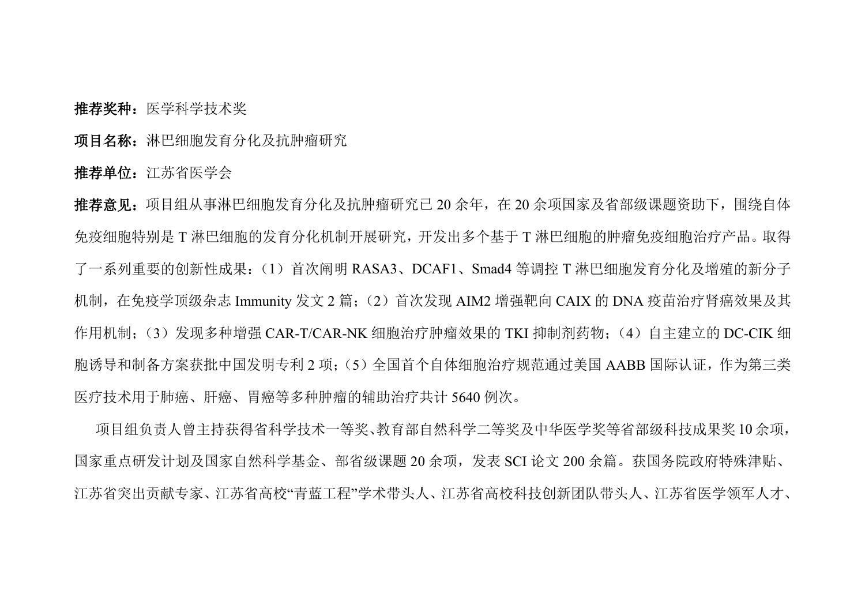推荐奖种:医学科学技术奖

项目名称:淋巴细胞发育分化及抗肿瘤研究

推荐单位:江苏省医学会

推荐意见:项目组从事淋巴细胞发育分化及抗肿瘤研究已 20 余年,在 20 余项国家及省部级课题资助下,围绕自体 免疫细胞特别是 T 淋巴细胞的发育分化机制开展研究,开发出多个基于 T 淋巴细胞的肿瘤免疫细胞治疗产品。取得 了一系列重要的创新性成果:(1)首次阐明 RASA3、DCAF1、Smad4 等调控 T 淋巴细胞发育分化及增殖的新分子 机制,在免疫学顶级杂志 Immunity 发文 2 篇;(2)首次发现 AIM2 增强靶向 CAIX 的 DNA 疫苗治疗肾癌效果及其 作用机制:(3)发现多种增强 CAR-T/CAR-NK 细胞治疗肿瘤效果的 TKI 抑制剂药物: (4) 自主建立的 DC-CIK 细 胞诱导和制备方案获批中国发明专利 2 项;(5)全国首个自体细胞治疗规范通过美国 AABB 国际认证,作为第三类 医疗技术用于肺癌、肝癌、胃癌等多种肿瘤的辅助治疗共计 5640 例次。

项目组负责人曾主持获得省科学技术一等奖、教育部自然科学二等奖及中华医学奖等省部级科技成果奖 10 余项, 国家重点研发计划及国家自然科学基金、部省级课题 20 余项,发表 SCI 论文 200 余篇。获国务院政府特殊津贴、 江苏省突出贡献专家、江苏省高校"青蓝工程"学术带头人、江苏省高校科技创新团队带头人、江苏省医学领军人才、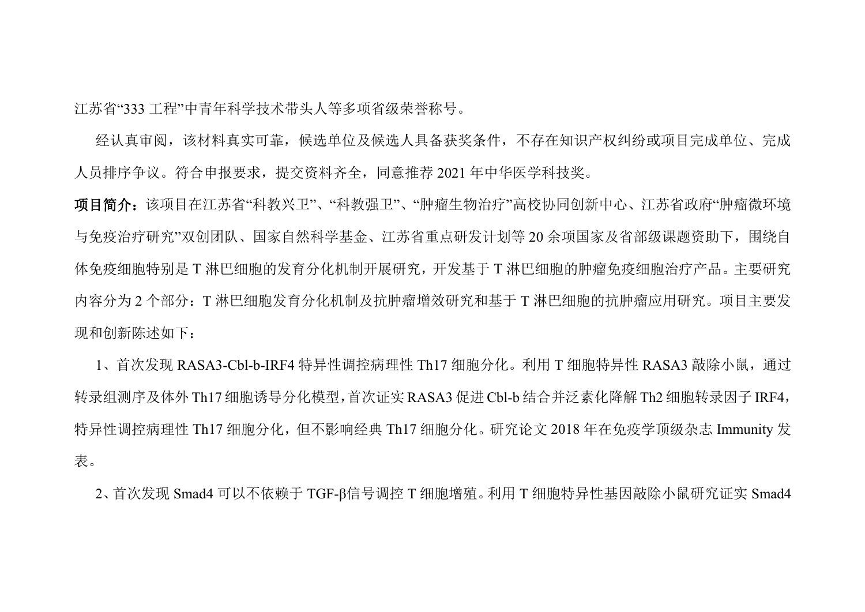江苏省"333 工程"中青年科学技术带头人等多项省级荣誉称号。

经认真审阅,该材料真实可靠,候选单位及候选人具备获奖条件,不存在知识产权纠纷或项目完成单位、完成 人员排序争议。符合申报要求,提交资料齐全,同意推荐 2021 年中华医学科技奖。

项目简介:该项目在江苏省"科教兴卫"、"科教强卫"、"肿瘤生物治疗"高校协同创新中心、江苏省政府"肿瘤微环境 与免疫治疗研究"双创团队、国家自然科学基金、江苏省重点研发计划等 20 余项国家及省部级课题资助下,围绕自 体免疫细胞特别是 T 淋巴细胞的发育分化机制开展研究,开发基于 T 淋巴细胞的肿瘤免疫细胞治疗产品。主要研究 内容分为 2 个部分:T 淋巴细胞发育分化机制及抗肿瘤增效研究和基于 T 淋巴细胞的抗肿瘤应用研究。项目主要发 现和创新陈述如下:

1、首次发现 RASA3-Cbl-b-IRF4 特异性调控病理性 Th17 细胞分化。利用 T 细胞特异性 RASA3 敲除小鼠, 通过 转录组测序及体外 Th17 细胞诱导分化模型,首次证实 RASA3 促进 Cbl-b 结合并泛素化降解 Th2 细胞转录因子 IRF4, 特异性调控病理性 Th17 细胞分化,但不影响经典 Th17 细胞分化。研究论文 2018 年在免疫学顶级杂志 Immunity 发 えいしょう おおや おおや あいしん あいしん あいしん あいしん あいしん あいしゅう あいしゅう

2、首次发现 Smad4 可以不依赖于 TGF-β信号调控 T 细胞增殖。利用 T 细胞特异性基因敲除小鼠研究证实 Smad4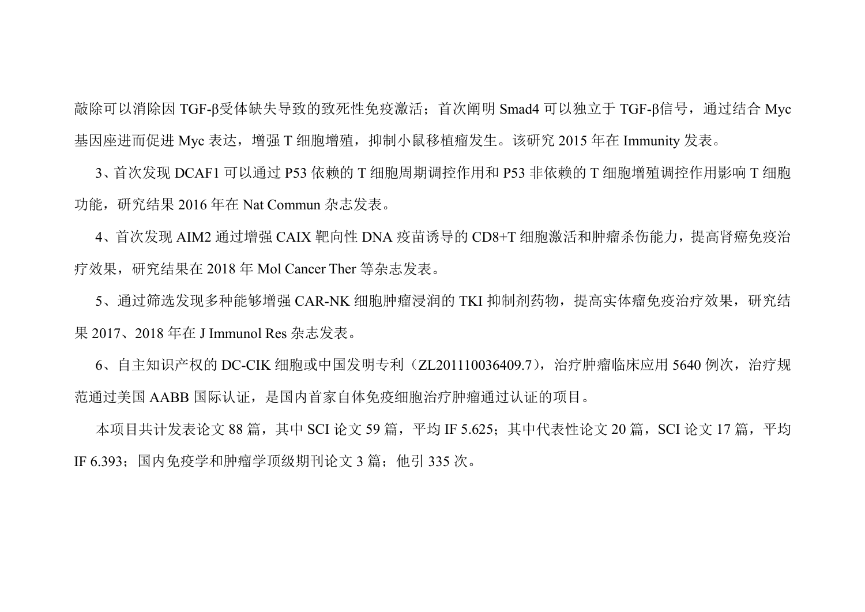敲除可以消除因 TGF-β受体缺失导致的致死性免疫激活;首次阐明 Smad4 可以独立于 TGF-β信号,通过结合 Myc 基因座进而促进 Myc 表达,增强 T 细胞增殖,抑制小鼠移植瘤发生。该研究 2015 年在 Immunity 发表。

3、首次发现 DCAF1 可以通过 P53依赖的 T 细胞周期调控作用和 P53 非依赖的 T 细胞增殖调控作用影响 T 细胞 功能,研究结果 2016 年在 Nat Commun 杂志发表。

4、首次发现 AIM2 通过增强 CAIX 靶向性 DNA 疫苗诱导的 CD8+T 细胞激活和肿瘤杀伤能力,提高肾癌免疫治 疗效果,研究结果在 2018 年 Mol Cancer Ther 等杂志发表。

5、通过筛选发现多种能够增强 CAR-NK 细胞肿瘤浸润的 TKI 抑制剂药物,提高实体瘤免疫治疗效果,研究结 果 2017、2018 年在 J Immunol Res 杂志发表。

6、自主知识产权的 DC-CIK 细胞或中国发明专利 (ZL201110036409.7), 治疗肿瘤临床应用 5640 例次, 治疗规 范通过美国 AABB 国际认证,是国内首家自体免疫细胞治疗肿瘤通过认证的项目。

本项目共计发表论文 88 篇, 其中 SCI 论文 59 篇, 平均 IF 5.625: 其中代表性论文 20 篇, SCI 论文 17 篇, 平均 IF 6.393;国内免疫学和肿瘤学顶级期刊论文 3 篇;他引 335 次。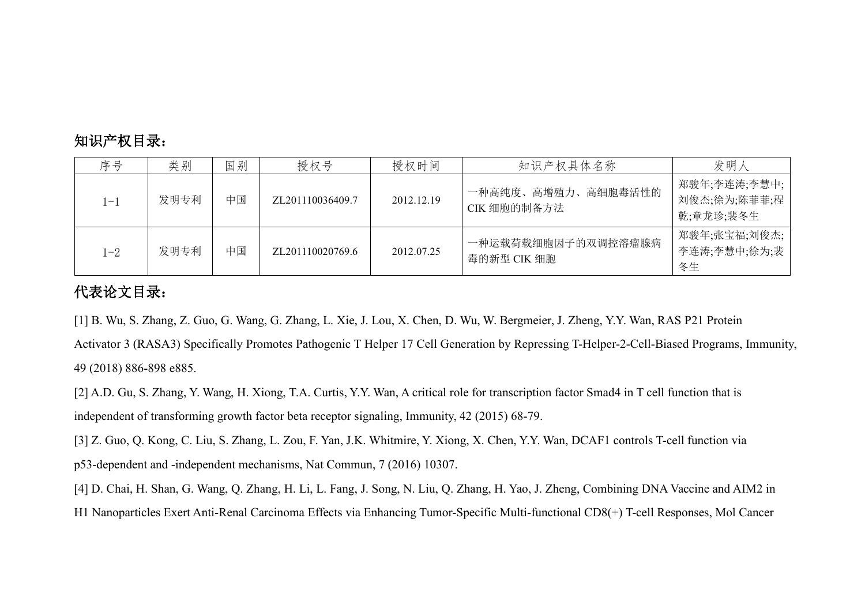## 知识产权目录:

| 序号   | 类别   | 国别 | 授权号              | 授权时间       | 知识产权具体名称                          | 发明人                                       |
|------|------|----|------------------|------------|-----------------------------------|-------------------------------------------|
| .—]  | 发明专利 | 中国 | ZL201110036409.7 | 2012.12.19 | 一种高纯度、高增殖力、高细胞毒活性的<br>CIK 细胞的制备方法 | 物骏年;李连涛;李慧中;<br>刘俊杰;徐为;陈菲菲;程<br>乾;章龙珍;裴冬生 |
| $-2$ | 发明专利 | 中国 | ZL201110020769.6 | 2012.07.25 | 一种运载荷载细胞因子的双调控溶瘤腺病<br>毒的新型 CIK 细胞 | 郑骏年;张宝福;刘俊杰;<br>李连涛;李慧中;徐为;裴<br>冬生        |

## 代表论文目录:

[1] B. Wu, S. Zhang, Z. Guo, G. Wang, G. Zhang, L. Xie, J. Lou, X. Chen, D. Wu, W. Bergmeier, J. Zheng, Y.Y. Wan, RAS P21 Protein

Activator 3 (RASA3) Specifically Promotes Pathogenic T Helper 17 Cell Generation by Repressing T-Helper-2-Cell-Biased Programs, Immunity, 49 (2018) 886-898 e885.

[2] A.D. Gu, S. Zhang, Y. Wang, H. Xiong, T.A. Curtis, Y.Y. Wan, A critical role for transcription factor Smad4 in T cell function that is independent of transforming growth factor beta receptor signaling, Immunity, 42 (2015) 68-79.

[3] Z. Guo, Q. Kong, C. Liu, S. Zhang, L. Zou, F. Yan, J.K. Whitmire, Y. Xiong, X. Chen, Y.Y. Wan, DCAF1 controls T-cell function via p53-dependent and -independent mechanisms, Nat Commun, 7 (2016) 10307.

[4] D. Chai, H. Shan, G. Wang, Q. Zhang, H. Li, L. Fang, J. Song, N. Liu, Q. Zhang, H. Yao, J. Zheng, Combining DNA Vaccine and AIM2 in H1 Nanoparticles Exert Anti-Renal Carcinoma Effects via Enhancing Tumor-Specific Multi-functional CD8(+) T-cell Responses, Mol Cancer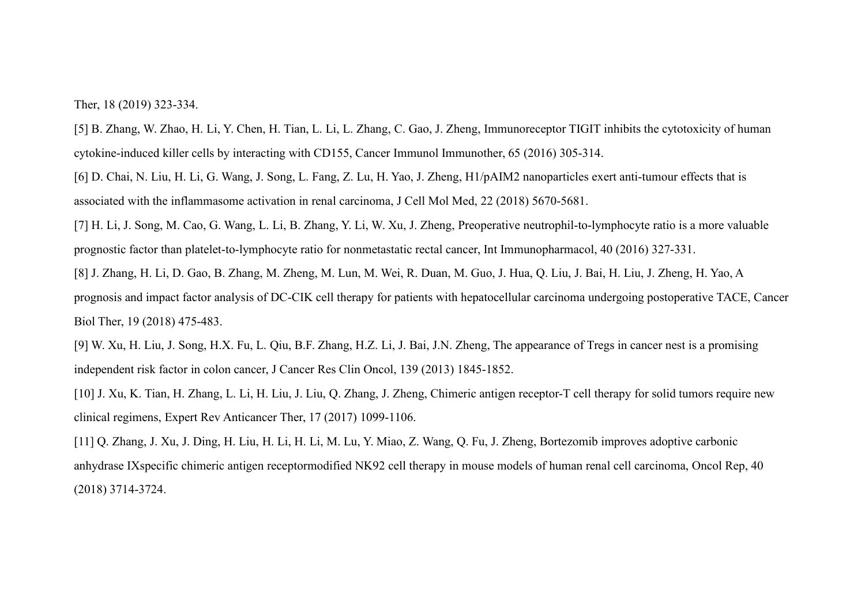Ther, 18 (2019) 323-334.

[5] B. Zhang, W. Zhao, H. Li, Y. Chen, H. Tian, L. Li, L. Zhang, C. Gao, J. Zheng, Immunoreceptor TIGIT inhibits the cytotoxicity of human cytokine-induced killer cells by interacting with CD155, Cancer Immunol Immunother, 65 (2016) 305-314.

[6] D. Chai, N. Liu, H. Li, G. Wang, J. Song, L. Fang, Z. Lu, H. Yao, J. Zheng, H1/pAIM2 nanoparticles exert anti-tumour effects that is associated with the inflammasome activation in renal carcinoma, J Cell Mol Med, 22 (2018) 5670-5681.

[7] H. Li, J. Song, M. Cao, G. Wang, L. Li, B. Zhang, Y. Li, W. Xu, J. Zheng, Preoperative neutrophil-to-lymphocyte ratio is a more valuable prognostic factor than platelet-to-lymphocyte ratio for nonmetastatic rectal cancer, Int Immunopharmacol, 40 (2016) 327-331.

[8] J. Zhang, H. Li, D. Gao, B. Zhang, M. Zheng, M. Lun, M. Wei, R. Duan, M. Guo, J. Hua, Q. Liu, J. Bai, H. Liu, J. Zheng, H. Yao, A

prognosis and impact factor analysis ofDC-CIK cell therapy for patients with hepatocellular carcinoma undergoing postoperative TACE, Cancer Biol Ther, 19 (2018) 475-483.

[9] W. Xu, H. Liu, J. Song, H.X. Fu, L. Qiu, B.F. Zhang, H.Z. Li, J. Bai, J.N. Zheng, The appearance of Tregs in cancer nest is a promising independent risk factor in colon cancer, J Cancer Res Clin Oncol, 139 (2013) 1845-1852.

[10] J. Xu, K. Tian, H. Zhang, L. Li, H. Liu, J. Liu, Q. Zhang, J. Zheng, Chimeric antigen receptor-T cell therapy for solid tumors require new clinical regimens, Expert Rev Anticancer Ther, 17 (2017) 1099-1106.

[11] Q. Zhang, J. Xu, J. Ding, H. Liu, H. Li, H. Li, M. Lu, Y. Miao, Z. Wang, Q. Fu, J. Zheng, Bortezomib improves adoptive carbonic anhydrase IXspecific chimeric antigen receptormodified NK92 cell therapy in mouse models of human renal cell carcinoma, Oncol Rep, 40 (2018) 3714-3724.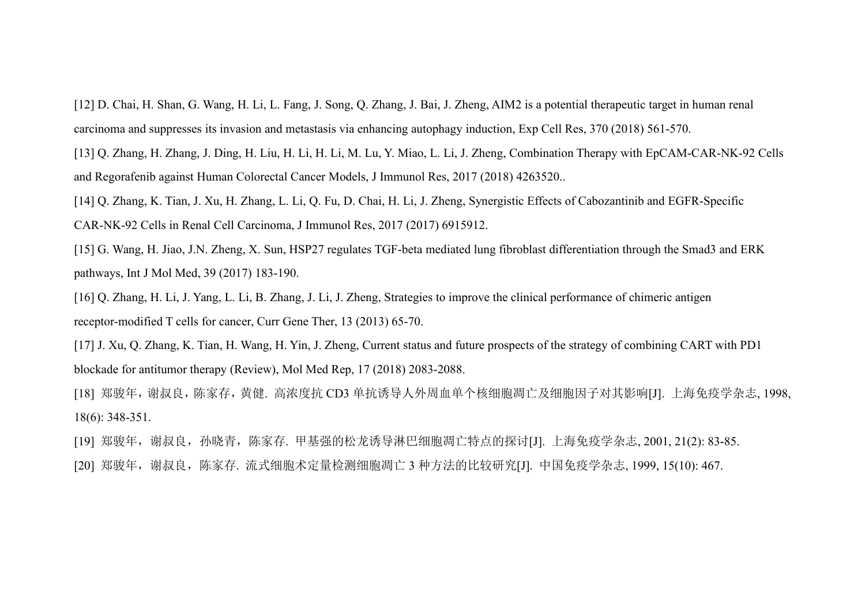[12] D. Chai, H. Shan, G. Wang, H. Li, L. Fang, J. Song, Q. Zhang, J. Bai, J. Zheng, AIM2 is a potential therapeutic target in human renal carcinoma and suppresses its invasion and metastasis via enhancing autophagy induction, Exp Cell Res, 370 (2018) 561-570.

[13] Q. Zhang, H. Zhang, J. Ding, H. Liu, H. Li, H. Li, M. Lu, Y. Miao, L. Li, J. Zheng, Combination Therapy with EpCAM-CAR-NK-92 Cells and Regorafenib against Human Colorectal Cancer Models, J Immunol Res, 2017 (2018) 4263520..

[14] Q. Zhang, K. Tian, J. Xu, H. Zhang, L. Li, Q. Fu, D. Chai, H. Li, J. Zheng, Synergistic Effects of Cabozantinib and EGFR-Specific CAR-NK-92 Cells in Renal Cell Carcinoma, J Immunol Res, 2017 (2017) 6915912.

[15] G. Wang, H. Jiao, J.N. Zheng, X. Sun, HSP27 regulates TGF-beta mediated lung fibroblast differentiation through the Smad3 and ERK pathways, Int J Mol Med, 39 (2017) 183-190.

[16] Q. Zhang, H. Li, J. Yang, L. Li, B. Zhang, J. Li, J. Zheng, Strategies to improve the clinical performance of chimeric antigen receptor-modified T cells for cancer, Curr Gene Ther, 13 (2013) 65-70.

[17] J. Xu, Q. Zhang, K. Tian, H. Wang, H. Yin, J. Zheng, Current status and future prospects of the strategy of combining CART with PD1 blockade for antitumor therapy (Review), Mol Med Rep, 17 (2018) 2083-2088.

[18] 郑骏年,谢叔良,陈家存,黄健. 高浓度抗 CD3 单抗诱导人外周血单个核细胞凋亡及细胞因子对其影响[J]. 上海免疫学杂志, 1998, 18(6): 348-351.

[19] 郑骏年,谢叔良,孙晓青,陈家存. 甲基强的松龙诱导淋巴细胞凋亡特点的探讨[J]. 上海免疫学杂志, 2001, 21(2): 83-85. [20] 郑骏年, 谢叔良, 陈家存. 流式细胞术定量检测细胞凋亡 3 种方法的比较研究[J]. 中国免疫学杂志, 1999, 15(10): 467.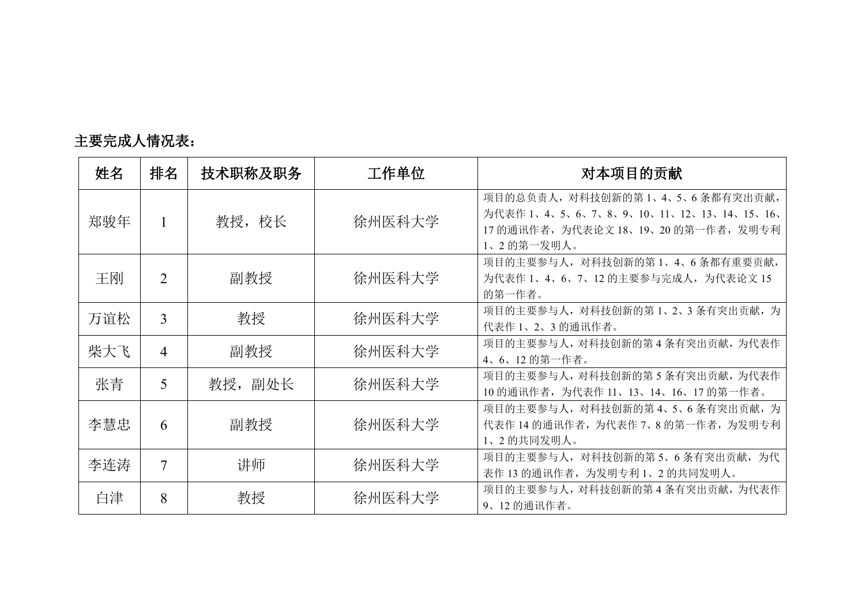| 姓名  | 排名             | 技术职称及职务 | 工作单位   | 对本项目的贡献                                                                                                                          |
|-----|----------------|---------|--------|----------------------------------------------------------------------------------------------------------------------------------|
| 郑骏年 |                | 教授, 校长  | 徐州医科大学 | 项目的总负责人, 对科技创新的第1、4、5、6条都有突出贡献,<br>为代表作 1、4、5、6、7、8、9、10、11、12、13、14、15、16、<br>17 的通讯作者,为代表论文 18、19、20 的第一作者,发明专利<br>1、2 的第一发明人。 |
| 王刚  | $\overline{2}$ | 副教授     | 徐州医科大学 | 项目的主要参与人, 对科技创新的第1、4、6条都有重要贡献,<br>为代表作 1、4、6、7、12 的主要参与完成人, 为代表论文 15<br>的第一作者。                                                   |
| 万谊松 | $\overline{3}$ | 教授      | 徐州医科大学 | 项目的主要参与人, 对科技创新的第1、2、3条有突出贡献, 为<br>代表作 1、2、3 的通讯作者。                                                                              |
| 柴大飞 | $\overline{4}$ | 副教授     | 徐州医科大学 | 项目的主要参与人, 对科技创新的第4条有突出贡献, 为代表作<br>4、6、12 的第一作者。                                                                                  |
| 张青  | 5              | 教授, 副处长 | 徐州医科大学 | 项目的主要参与人, 对科技创新的第5条有突出贡献, 为代表作<br>10 的通讯作者, 为代表作 11、13、14、16、17 的第一作者。                                                           |
| 李慧忠 | 6              | 副教授     | 徐州医科大学 | 项目的主要参与人, 对科技创新的第4、5、6条有突出贡献, 为<br>代表作 14 的通讯作者, 为代表作 7、8 的第一作者, 为发明专利<br>1、2的共同发明人。                                             |
| 李连涛 | $\overline{7}$ | 讲师      | 徐州医科大学 | 项目的主要参与人, 对科技创新的第5、6条有突出贡献, 为代<br>表作13的通讯作者,为发明专利1、2的共同发明人。                                                                      |
| 白津  | 8              | 教授      | 徐州医科大学 | 项目的主要参与人, 对科技创新的第4条有突出贡献, 为代表作<br>9、12的通讯作者。                                                                                     |